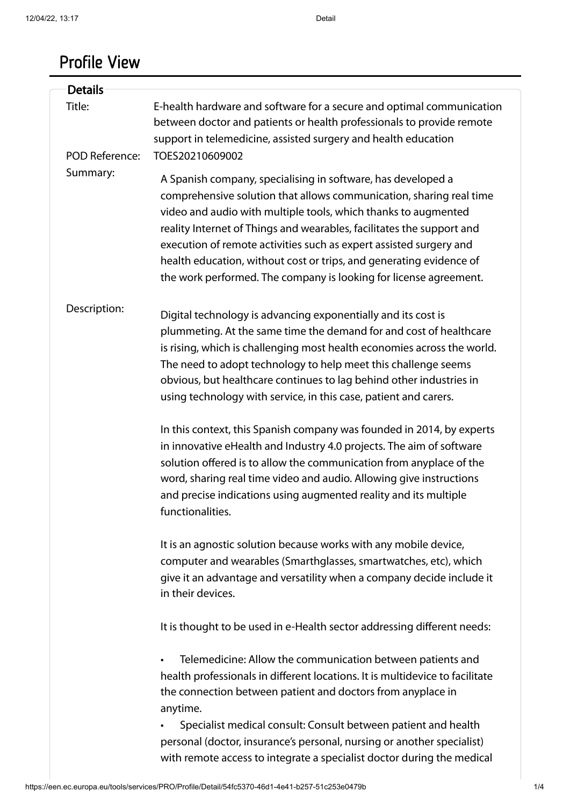# Profile View

| <b>Details</b>           |                                                                                                                                                                                                                                                                                                                                                                                                                                                                                                  |
|--------------------------|--------------------------------------------------------------------------------------------------------------------------------------------------------------------------------------------------------------------------------------------------------------------------------------------------------------------------------------------------------------------------------------------------------------------------------------------------------------------------------------------------|
| Title:<br>POD Reference: | E-health hardware and software for a secure and optimal communication<br>between doctor and patients or health professionals to provide remote<br>support in telemedicine, assisted surgery and health education<br>TOES20210609002                                                                                                                                                                                                                                                              |
| Summary:                 | A Spanish company, specialising in software, has developed a<br>comprehensive solution that allows communication, sharing real time<br>video and audio with multiple tools, which thanks to augmented<br>reality Internet of Things and wearables, facilitates the support and<br>execution of remote activities such as expert assisted surgery and<br>health education, without cost or trips, and generating evidence of<br>the work performed. The company is looking for license agreement. |
| Description:             | Digital technology is advancing exponentially and its cost is<br>plummeting. At the same time the demand for and cost of healthcare<br>is rising, which is challenging most health economies across the world.<br>The need to adopt technology to help meet this challenge seems<br>obvious, but healthcare continues to lag behind other industries in<br>using technology with service, in this case, patient and carers.                                                                      |
|                          | In this context, this Spanish company was founded in 2014, by experts<br>in innovative eHealth and Industry 4.0 projects. The aim of software<br>solution offered is to allow the communication from anyplace of the<br>word, sharing real time video and audio. Allowing give instructions<br>and precise indications using augmented reality and its multiple<br>functionalities.                                                                                                              |
|                          | It is an agnostic solution because works with any mobile device,<br>computer and wearables (Smarthglasses, smartwatches, etc), which<br>give it an advantage and versatility when a company decide include it<br>in their devices.                                                                                                                                                                                                                                                               |
|                          | It is thought to be used in e-Health sector addressing different needs:                                                                                                                                                                                                                                                                                                                                                                                                                          |
|                          | Telemedicine: Allow the communication between patients and<br>health professionals in different locations. It is multidevice to facilitate<br>the connection between patient and doctors from anyplace in<br>anytime.                                                                                                                                                                                                                                                                            |
|                          | Specialist medical consult: Consult between patient and health<br>personal (doctor, insurance's personal, nursing or another specialist)<br>with remote access to integrate a specialist doctor during the medical                                                                                                                                                                                                                                                                               |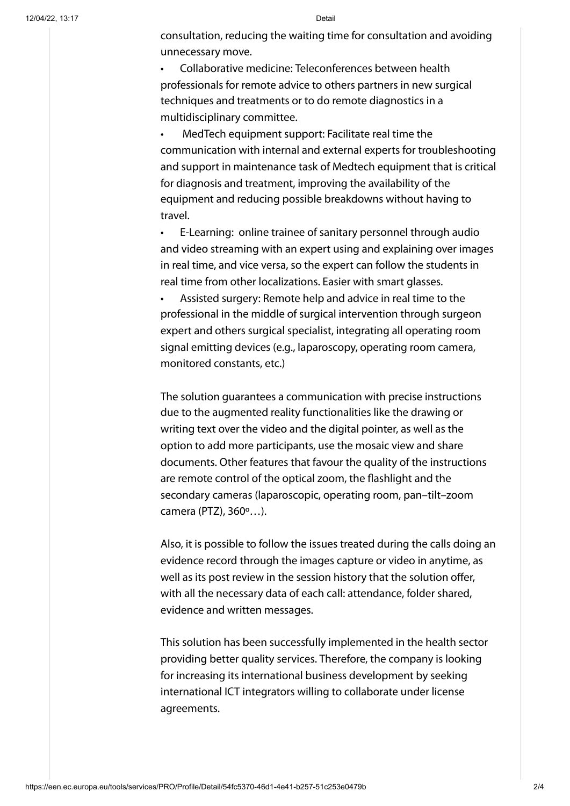consultation, reducing the waiting time for consultation and avoiding unnecessary move.

• Collaborative medicine: Teleconferences between health professionals for remote advice to others partners in new surgical techniques and treatments or to do remote diagnostics in a multidisciplinary committee.

• MedTech equipment support: Facilitate real time the communication with internal and external experts for troubleshooting and support in maintenance task of Medtech equipment that is critical for diagnosis and treatment, improving the availability of the equipment and reducing possible breakdowns without having to travel.

• E-Learning: online trainee of sanitary personnel through audio and video streaming with an expert using and explaining over images in real time, and vice versa, so the expert can follow the students in real time from other localizations. Easier with smart glasses.

• Assisted surgery: Remote help and advice in real time to the professional in the middle of surgical intervention through surgeon expert and others surgical specialist, integrating all operating room signal emitting devices (e.g., laparoscopy, operating room camera, monitored constants, etc.)

The solution guarantees a communication with precise instructions due to the augmented reality functionalities like the drawing or writing text over the video and the digital pointer, as well as the option to add more participants, use the mosaic view and share documents. Other features that favour the quality of the instructions are remote control of the optical zoom, the flashlight and the secondary cameras (laparoscopic, operating room, pan–tilt–zoom camera (PTZ), 360º…).

Also, it is possible to follow the issues treated during the calls doing an evidence record through the images capture or video in anytime, as well as its post review in the session history that the solution offer, with all the necessary data of each call: attendance, folder shared, evidence and written messages.

This solution has been successfully implemented in the health sector providing better quality services. Therefore, the company is looking for increasing its international business development by seeking international ICT integrators willing to collaborate under license agreements.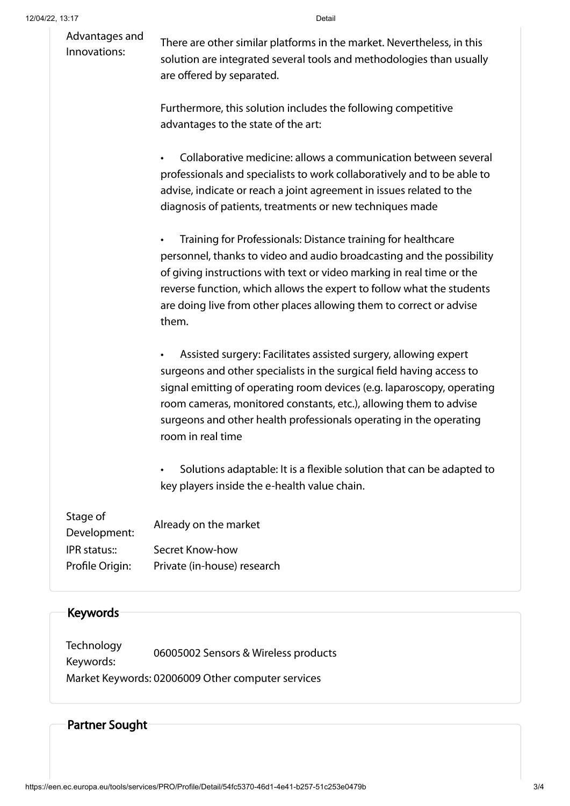| Advantages and<br>Innovations: | There are other similar platforms in the market. Nevertheless, in this<br>solution are integrated several tools and methodologies than usually<br>are offered by separated. |                                                                                                                                                                                                                                                                                                                                                                                    |  |
|--------------------------------|-----------------------------------------------------------------------------------------------------------------------------------------------------------------------------|------------------------------------------------------------------------------------------------------------------------------------------------------------------------------------------------------------------------------------------------------------------------------------------------------------------------------------------------------------------------------------|--|
|                                |                                                                                                                                                                             | Furthermore, this solution includes the following competitive<br>advantages to the state of the art:                                                                                                                                                                                                                                                                               |  |
|                                |                                                                                                                                                                             | Collaborative medicine: allows a communication between several<br>professionals and specialists to work collaboratively and to be able to<br>advise, indicate or reach a joint agreement in issues related to the<br>diagnosis of patients, treatments or new techniques made                                                                                                      |  |
|                                |                                                                                                                                                                             | Training for Professionals: Distance training for healthcare<br>personnel, thanks to video and audio broadcasting and the possibility<br>of giving instructions with text or video marking in real time or the<br>reverse function, which allows the expert to follow what the students<br>are doing live from other places allowing them to correct or advise<br>them.            |  |
|                                |                                                                                                                                                                             | Assisted surgery: Facilitates assisted surgery, allowing expert<br>surgeons and other specialists in the surgical field having access to<br>signal emitting of operating room devices (e.g. laparoscopy, operating<br>room cameras, monitored constants, etc.), allowing them to advise<br>surgeons and other health professionals operating in the operating<br>room in real time |  |
|                                |                                                                                                                                                                             | Solutions adaptable: It is a flexible solution that can be adapted to<br>key players inside the e-health value chain.                                                                                                                                                                                                                                                              |  |
|                                | Stage of<br>Development:<br>IPR status::                                                                                                                                    | Already on the market<br>Secret Know-how                                                                                                                                                                                                                                                                                                                                           |  |
|                                | Profile Origin:                                                                                                                                                             | Private (in-house) research                                                                                                                                                                                                                                                                                                                                                        |  |
|                                |                                                                                                                                                                             |                                                                                                                                                                                                                                                                                                                                                                                    |  |

### Keywords

Technology Keywords: 06005002 Sensors & Wireless products Market Keywords: 02006009 Other computer services

# Partner Sought